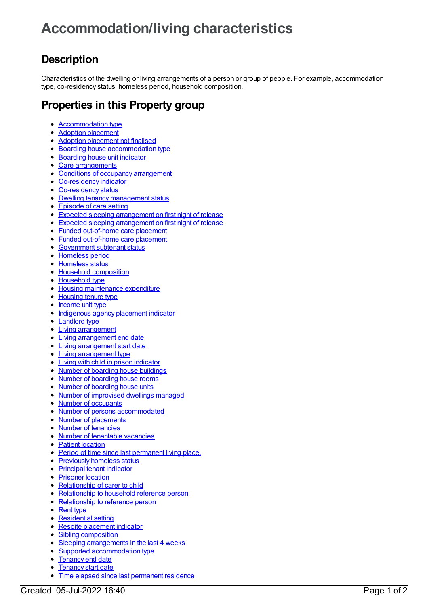## **Accommodation/living characteristics**

## **Description**

Characteristics of the dwelling or living arrangements of a person or group of people. For example, accommodation type, co-residency status, homeless period, household composition.

## **Properties in this Property group**

- [Accommodation](https://meteor.aihw.gov.au/content/269143) type
- Adoption [placement](https://meteor.aihw.gov.au/content/653253)  $\bullet$
- Adoption [placement](https://meteor.aihw.gov.au/content/650132) not finalised
- Boarding house [accommodation](https://meteor.aihw.gov.au/content/594619) type
- [Boarding](https://meteor.aihw.gov.au/content/464176) house unit indicator
- Care [arrangements](https://meteor.aihw.gov.au/content/367634)
- Conditions of occupancy [arrangement](https://meteor.aihw.gov.au/content/411827)
- [Co-residency](https://meteor.aihw.gov.au/content/621310) indicator
- [Co-residency](https://meteor.aihw.gov.au/content/269168) status
- Dwelling tenancy [management](https://meteor.aihw.gov.au/content/479733) status
- [Episode](https://meteor.aihw.gov.au/content/641056) of care setting
- Expected sleeping [arrangement](https://meteor.aihw.gov.au/content/624887) on first night of release
- Expected sleeping [arrangement](https://meteor.aihw.gov.au/content/482347) on first night of release
- Funded [out-of-home](https://meteor.aihw.gov.au/content/737476) care placement
- Funded [out-of-home](https://meteor.aihw.gov.au/content/652020) care placement
- **[Government](https://meteor.aihw.gov.au/content/658129) subtenant status**
- [Homeless](https://meteor.aihw.gov.au/content/269268) period
- [Homeless](https://meteor.aihw.gov.au/content/269265) status
- Household [composition](https://meteor.aihw.gov.au/content/269118)
- [Household](https://meteor.aihw.gov.au/content/269322) type
- Housing [maintenance](https://meteor.aihw.gov.au/content/464805) expenditure
- [Housing](https://meteor.aihw.gov.au/content/269296) tenure type
- [Income](https://meteor.aihw.gov.au/content/269153) unit type
- [Indigenous](https://meteor.aihw.gov.au/content/529735) agency placement indicator
- **[Landlord](https://meteor.aihw.gov.au/content/269175) type**
- Living [arrangement](https://meteor.aihw.gov.au/content/269314)
- Living [arrangement](https://meteor.aihw.gov.au/content/456825) end date
- Living [arrangement](https://meteor.aihw.gov.au/content/456598) start date
- Living [arrangement](https://meteor.aihw.gov.au/content/456646) type
- Living with child in prison [indicator](https://meteor.aihw.gov.au/content/483632)
- Number of [boarding](https://meteor.aihw.gov.au/content/444733) house buildings  $\bullet$
- Number of [boarding](https://meteor.aihw.gov.au/content/444559) house rooms  $\bullet$
- Number of [boarding](https://meteor.aihw.gov.au/content/444541) house units  $\bullet$
- Number of [improvised](https://meteor.aihw.gov.au/content/479691) dwellings managed  $\bullet$
- Number of [occupants](https://meteor.aihw.gov.au/content/443860)  $\bullet$
- Number of persons [accommodated](https://meteor.aihw.gov.au/content/352408)  $\bullet$
- Number of [placements](https://meteor.aihw.gov.au/content/470095)  $\bullet$
- Number of [tenancies](https://meteor.aihw.gov.au/content/462660)  $\bullet$
- Number of [tenantable](https://meteor.aihw.gov.au/content/462634) vacancies  $\bullet$
- Patient [location](https://meteor.aihw.gov.au/content/614028)
- Period of time since last [permanent](https://meteor.aihw.gov.au/content/692162) living place.
- [Previously](https://meteor.aihw.gov.au/content/400340) homeless status
- [Principal](https://meteor.aihw.gov.au/content/463011) tenant indicator
- [Prisoner](https://meteor.aihw.gov.au/content/418449) location
- [Relationship](https://meteor.aihw.gov.au/content/652009) of carer to child
- [Relationship](https://meteor.aihw.gov.au/content/321218) to household reference person
- [Relationship](https://meteor.aihw.gov.au/content/269216) to reference person
- [Rent](https://meteor.aihw.gov.au/content/658147) type
- [Residential](https://meteor.aihw.gov.au/content/269116) setting
- Respite [placement](https://meteor.aihw.gov.au/content/529745) indicator
- Sibling [composition](https://meteor.aihw.gov.au/content/475287)
- Sleeping [arrangements](https://meteor.aihw.gov.au/content/482322) in the last 4 weeks
- Supported [accommodation](https://meteor.aihw.gov.au/content/350876) type
- [Tenancy](https://meteor.aihw.gov.au/content/474672) end date
- [Tenancy](https://meteor.aihw.gov.au/content/473936) start date
- Time elapsed since last [permanent](https://meteor.aihw.gov.au/content/401730) residence